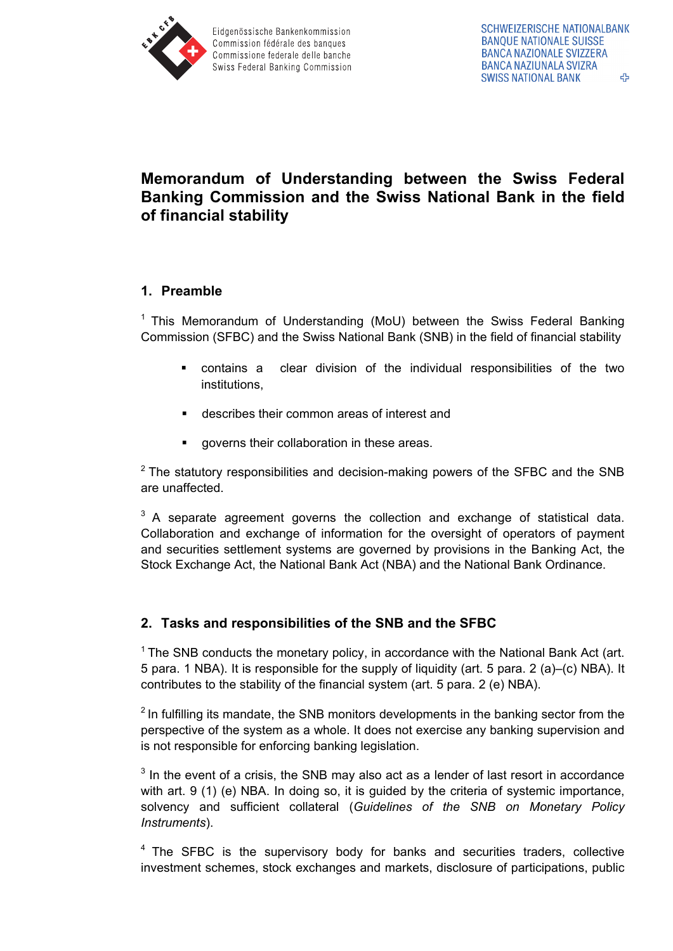

# **Memorandum of Understanding between the Swiss Federal Banking Commission and the Swiss National Bank in the field of financial stability**

## **1. Preamble**

<sup>1</sup> This Memorandum of Understanding (MoU) between the Swiss Federal Banking Commission (SFBC) and the Swiss National Bank (SNB) in the field of financial stability

- contains a clear division of the individual responsibilities of the two institutions,
- describes their common areas of interest and
- governs their collaboration in these areas.

 $2$  The statutory responsibilities and decision-making powers of the SFBC and the SNB are unaffected.

 $3$  A separate agreement governs the collection and exchange of statistical data. Collaboration and exchange of information for the oversight of operators of payment and securities settlement systems are governed by provisions in the Banking Act, the Stock Exchange Act, the National Bank Act (NBA) and the National Bank Ordinance.

## **2. Tasks and responsibilities of the SNB and the SFBC**

 $1$  The SNB conducts the monetary policy, in accordance with the National Bank Act (art. 5 para. 1 NBA). It is responsible for the supply of liquidity (art. 5 para. 2 (a)–(c) NBA). It contributes to the stability of the financial system (art. 5 para. 2 (e) NBA).

 $2$  In fulfilling its mandate, the SNB monitors developments in the banking sector from the perspective of the system as a whole. It does not exercise any banking supervision and is not responsible for enforcing banking legislation.

 $3$  In the event of a crisis, the SNB may also act as a lender of last resort in accordance with art. 9 (1) (e) NBA. In doing so, it is guided by the criteria of systemic importance, solvency and sufficient collateral (*Guidelines of the SNB on Monetary Policy Instruments*).

<sup>4</sup> The SFBC is the supervisory body for banks and securities traders, collective investment schemes, stock exchanges and markets, disclosure of participations, public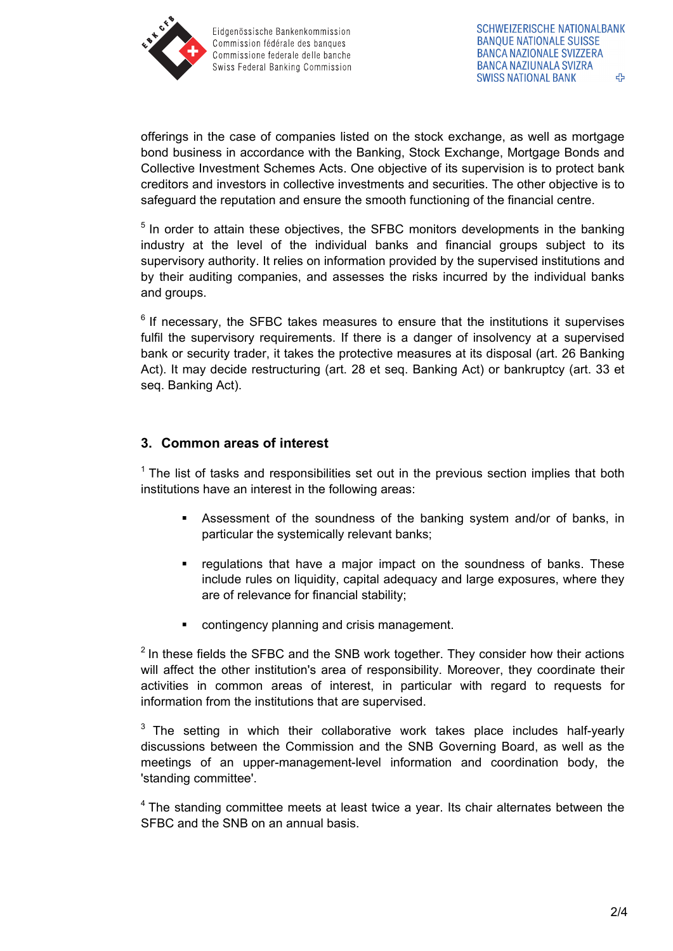

offerings in the case of companies listed on the stock exchange, as well as mortgage bond business in accordance with the Banking, Stock Exchange, Mortgage Bonds and Collective Investment Schemes Acts. One objective of its supervision is to protect bank creditors and investors in collective investments and securities. The other objective is to safeguard the reputation and ensure the smooth functioning of the financial centre.

 $5$  In order to attain these objectives, the SFBC monitors developments in the banking industry at the level of the individual banks and financial groups subject to its supervisory authority. It relies on information provided by the supervised institutions and by their auditing companies, and assesses the risks incurred by the individual banks and groups.

 $6$  If necessary, the SFBC takes measures to ensure that the institutions it supervises fulfil the supervisory requirements. If there is a danger of insolvency at a supervised bank or security trader, it takes the protective measures at its disposal (art. 26 Banking Act). It may decide restructuring (art. 28 et seq. Banking Act) or bankruptcy (art. 33 et seq. Banking Act).

#### **3. Common areas of interest**

 $1$  The list of tasks and responsibilities set out in the previous section implies that both institutions have an interest in the following areas:

- Assessment of the soundness of the banking system and/or of banks, in particular the systemically relevant banks;
- **•** regulations that have a major impact on the soundness of banks. These include rules on liquidity, capital adequacy and large exposures, where they are of relevance for financial stability;
- contingency planning and crisis management.

 $2$  In these fields the SFBC and the SNB work together. They consider how their actions will affect the other institution's area of responsibility. Moreover, they coordinate their activities in common areas of interest, in particular with regard to requests for information from the institutions that are supervised.

 $3$  The setting in which their collaborative work takes place includes half-yearly discussions between the Commission and the SNB Governing Board, as well as the meetings of an upper-management-level information and coordination body, the 'standing committee'.

 $4$  The standing committee meets at least twice a year. Its chair alternates between the SFBC and the SNB on an annual basis.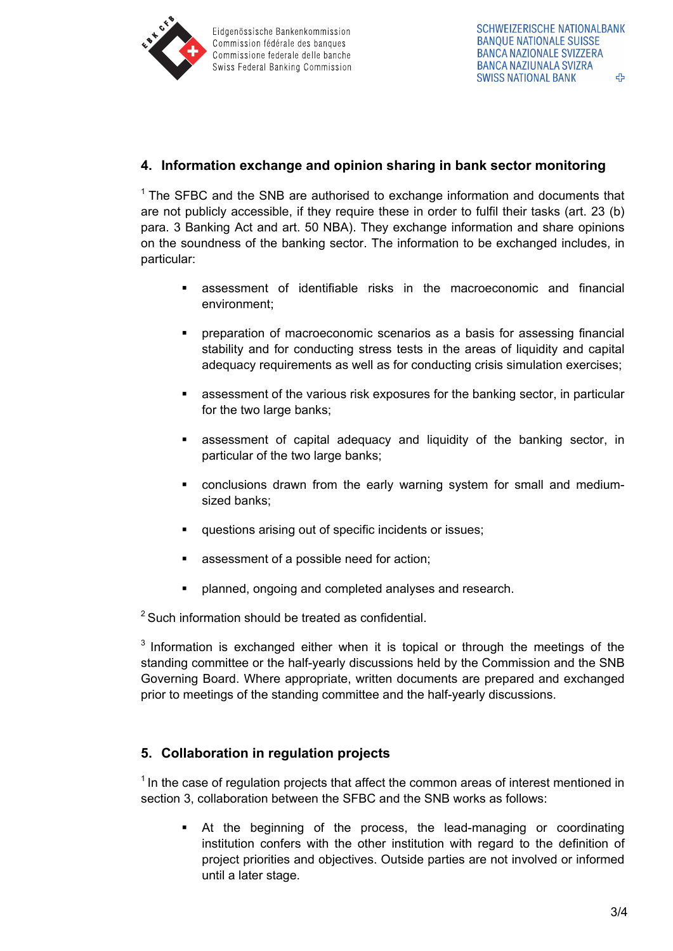

## **4. Information exchange and opinion sharing in bank sector monitoring**

 $1$  The SFBC and the SNB are authorised to exchange information and documents that are not publicly accessible, if they require these in order to fulfil their tasks (art. 23 (b) para. 3 Banking Act and art. 50 NBA). They exchange information and share opinions on the soundness of the banking sector. The information to be exchanged includes, in particular:

- assessment of identifiable risks in the macroeconomic and financial environment;
- preparation of macroeconomic scenarios as a basis for assessing financial stability and for conducting stress tests in the areas of liquidity and capital adequacy requirements as well as for conducting crisis simulation exercises;
- assessment of the various risk exposures for the banking sector, in particular for the two large banks;
- assessment of capital adequacy and liquidity of the banking sector, in particular of the two large banks;
- conclusions drawn from the early warning system for small and mediumsized banks;
- questions arising out of specific incidents or issues;
- assessment of a possible need for action;
- planned, ongoing and completed analyses and research.

<sup>2</sup> Such information should be treated as confidential.

<sup>3</sup> Information is exchanged either when it is topical or through the meetings of the standing committee or the half-yearly discussions held by the Commission and the SNB Governing Board. Where appropriate, written documents are prepared and exchanged prior to meetings of the standing committee and the half-yearly discussions.

## **5. Collaboration in regulation projects**

 $<sup>1</sup>$  In the case of regulation projects that affect the common areas of interest mentioned in</sup> section 3, collaboration between the SFBC and the SNB works as follows:

 At the beginning of the process, the lead-managing or coordinating institution confers with the other institution with regard to the definition of project priorities and objectives. Outside parties are not involved or informed until a later stage.